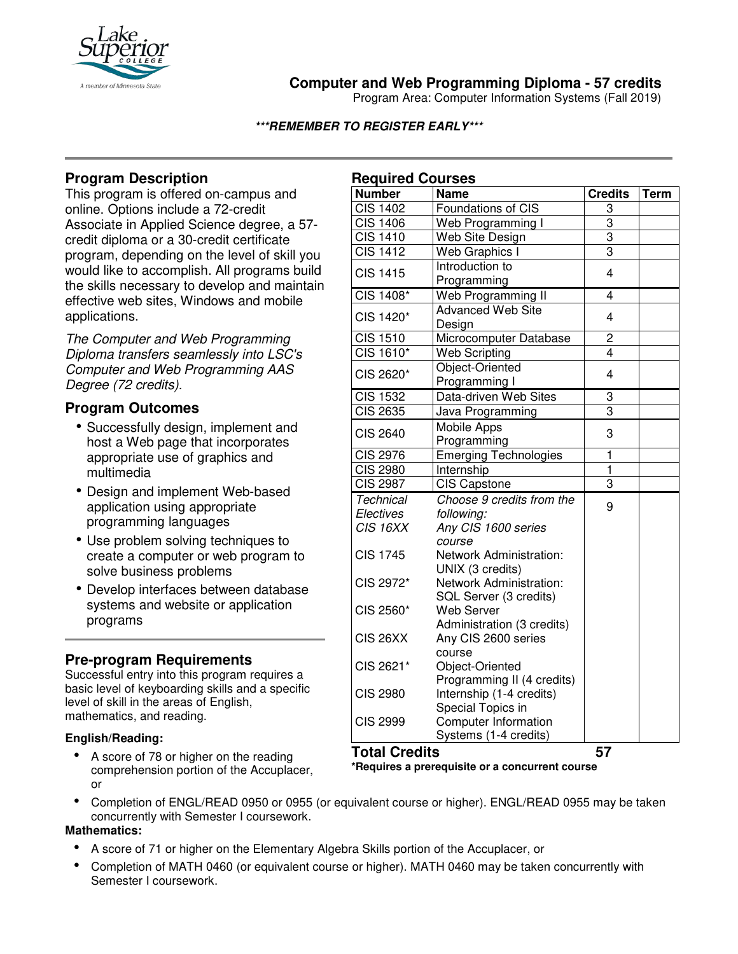

## **Computer and Web Programming Diploma - 57 credits**

Program Area: Computer Information Systems (Fall 2019)

### **\*\*\*REMEMBER TO REGISTER EARLY\*\*\***

# **Program Description**

This program is offered on-campus and online. Options include a 72-credit Associate in Applied Science degree, a 57 credit diploma or a 30-credit certificate program, depending on the level of skill you would like to accomplish. All programs build the skills necessary to develop and maintain effective web sites, Windows and mobile applications.

*The Computer and Web Programming Diploma transfers seamlessly into LSC's Computer and Web Programming AAS Degree (72 credits).*

## **Program Outcomes**

- Successfully design, implement and host a Web page that incorporates appropriate use of graphics and multimedia
- Design and implement Web-based application using appropriate programming languages
- Use problem solving techniques to create a computer or web program to solve business problems
- Develop interfaces between database systems and website or application programs

## **Pre-program Requirements**

Successful entry into this program requires a basic level of keyboarding skills and a specific level of skill in the areas of English, mathematics, and reading.

### **English/Reading:**

• A score of 78 or higher on the reading comprehension portion of the Accuplacer, or

| <b>Required Courses</b> |                                           |                |      |
|-------------------------|-------------------------------------------|----------------|------|
| <b>Number</b>           | <b>Name</b>                               | <b>Credits</b> | Term |
| <b>CIS 1402</b>         | Foundations of CIS                        | 3              |      |
| $\overline{C}$ IS 1406  | Web Programming I                         | 3              |      |
| <b>CIS 1410</b>         | Web Site Design                           | 3              |      |
| <b>CIS 1412</b>         | Web Graphics I                            | 3              |      |
| <b>CIS 1415</b>         | Introduction to                           | $\overline{4}$ |      |
|                         | Programming                               |                |      |
| CIS 1408*               | Web Programming II                        | $\overline{4}$ |      |
| CIS 1420*               | <b>Advanced Web Site</b>                  | 4              |      |
|                         | Design                                    |                |      |
| <b>CIS 1510</b>         | Microcomputer Database                    | $\overline{c}$ |      |
| CIS 1610*               | <b>Web Scripting</b>                      | 4              |      |
| CIS 2620*               | Object-Oriented                           | $\overline{4}$ |      |
|                         | Programming I                             |                |      |
| CIS 1532                | Data-driven Web Sites                     | 3              |      |
| CIS 2635                | Java Programming                          | $\overline{3}$ |      |
| <b>CIS 2640</b>         | <b>Mobile Apps</b>                        | 3              |      |
|                         | Programming                               |                |      |
| <b>CIS 2976</b>         | <b>Emerging Technologies</b>              | $\overline{1}$ |      |
| CIS 2980                | Internship                                | $\overline{1}$ |      |
| <b>CIS 2987</b>         | <b>CIS Capstone</b>                       | 3              |      |
| <b>Technical</b>        | Choose 9 credits from the                 | 9              |      |
| Electives               | following:                                |                |      |
| CIS 16XX                | Any CIS 1600 series                       |                |      |
|                         | course                                    |                |      |
| <b>CIS 1745</b>         | <b>Network Administration:</b>            |                |      |
|                         | UNIX (3 credits)                          |                |      |
| CIS 2972*               | Network Administration:                   |                |      |
|                         | SQL Server (3 credits)                    |                |      |
| CIS 2560*               | <b>Web Server</b>                         |                |      |
|                         | Administration (3 credits)                |                |      |
| CIS <sub>26</sub> XX    | Any CIS 2600 series                       |                |      |
|                         | course                                    |                |      |
| CIS 2621*               | Object-Oriented                           |                |      |
| <b>CIS 2980</b>         | Programming II (4 credits)                |                |      |
|                         | Internship (1-4 credits)                  |                |      |
| <b>CIS 2999</b>         | Special Topics in<br>Computer Information |                |      |
|                         | Systems (1-4 credits)                     |                |      |
|                         |                                           |                |      |

**Total Credits 57**

**\*Requires a prerequisite or a concurrent course**

• Completion of ENGL/READ 0950 or 0955 (or equivalent course or higher). ENGL/READ 0955 may be taken concurrently with Semester I coursework.

### **Mathematics:**

- A score of 71 or higher on the Elementary Algebra Skills portion of the Accuplacer, or
- Completion of MATH 0460 (or equivalent course or higher). MATH 0460 may be taken concurrently with Semester I coursework.